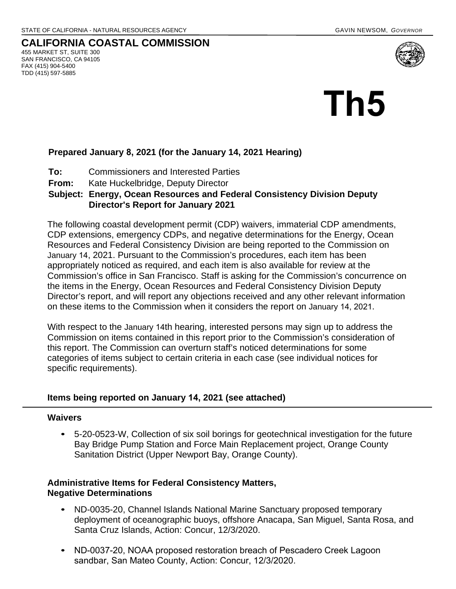#### **CALIFORNIA COASTAL COMMISSION**  455 MARKET ST, SUITE 300 SAN FRANCISCO, CA 94105 FAX (415) 904-5400 TDD (415) 597-5885



# **Prepared January 8, 2021 (for the January 14, 2021 Hearing)**

- **To:** Commissioners and Interested Parties
- **From:** Kate Huckelbridge, Deputy Director

## **Subject: Energy, Ocean Resources and Federal Consistency Division Deputy Director's Report for January 2021**

The following coastal development permit (CDP) waivers, immaterial CDP amendments, CDP extensions, emergency CDPs, and negative determinations for the Energy, Ocean Resources and Federal Consistency Division are being reported to the Commission on January 14, 2021. Pursuant to the Commission's procedures, each item has been appropriately noticed as required, and each item is also available for review at the Commission's office in San Francisco. Staff is asking for the Commission's concurrence on the items in the Energy, Ocean Resources and Federal Consistency Division Deputy Director's report, and will report any objections received and any other relevant information on these items to the Commission when it considers the report on January 14, 2021.

With respect to the January 14th hearing, interested persons may sign up to address the Commission on items contained in this report prior to the Commission's consideration of this report. The Commission can overturn staff's noticed determinations for some categories of items subject to certain criteria in each case (see individual notices for specific requirements).

## **Items being reported on January 14, 2021 (see attached)**

## **Waivers**

• 5-20-0523-W, Collection of six soil borings for geotechnical investigation for the future Bay Bridge Pump Station and Force Main Replacement project, Orange County Sanitation District (Upper Newport Bay, Orange County).

## **Administrative Items for Federal Consistency Matters, Negative Determinations**

- ND-0035-20, Channel Islands National Marine Sanctuary proposed temporary deployment of oceanographic buoys, offshore Anacapa, San Miguel, Santa Rosa, and Santa Cruz Islands, Action: Concur, 12/3/2020.
- ND-0037-20, NOAA proposed restoration breach of Pescadero Creek Lagoon sandbar, San Mateo County, Action: Concur, 12/3/2020.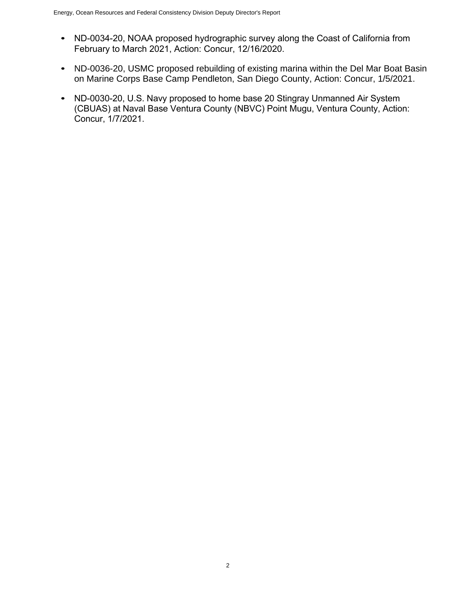- ND-0034-20, NOAA proposed hydrographic survey along the Coast of California from February to March 2021, Action: Concur, 12/16/2020.
- ND-0036-20, USMC proposed rebuilding of existing marina within the Del Mar Boat Basin on Marine Corps Base Camp Pendleton, San Diego County, Action: Concur, 1/5/2021.
- ND-0030-20, U.S. Navy proposed to home base 20 Stingray Unmanned Air System (CBUAS) at Naval Base Ventura County (NBVC) Point Mugu, Ventura County, Action: Concur, 1/7/2021.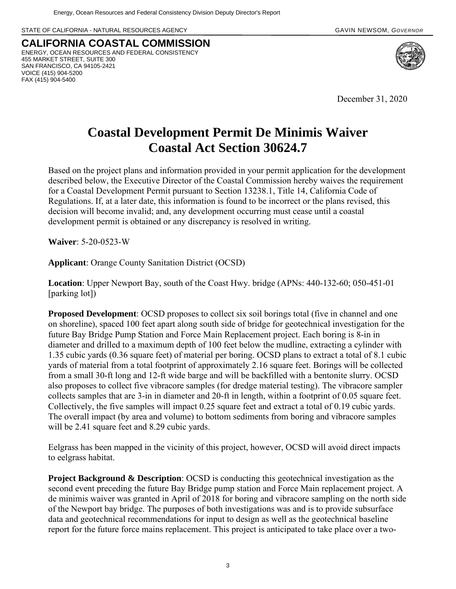STATE OF CALIFORNIA - NATURAL RESOURCES AGENCY **GAVIN ACCESS AND A CONSTRUCT A CONSTRUCT** GAVIN NEWSOM, *GOVERNOR* 

**CALIFORNIA COASTAL COMMISSION** ENERGY, OCEAN RESOURCES AND FEDERAL CONSISTENCY 455 MARKET STREET, SUITE 300 SAN FRANCISCO, CA 94105-2421 VOICE (415) 904-5200 FAX (415) 904-5400



December 31, 2020

# **Coastal Development Permit De Minimis Waiver Coastal Act Section 30624.7**

Based on the project plans and information provided in your permit application for the development described below, the Executive Director of the Coastal Commission hereby waives the requirement for a Coastal Development Permit pursuant to Section 13238.1, Title 14, California Code of Regulations. If, at a later date, this information is found to be incorrect or the plans revised, this decision will become invalid; and, any development occurring must cease until a coastal development permit is obtained or any discrepancy is resolved in writing.

**Waiver**: 5-20-0523-W

**Applicant**: Orange County Sanitation District (OCSD)

**Location**: Upper Newport Bay, south of the Coast Hwy. bridge (APNs: 440-132-60; 050-451-01 [parking lot])

**Proposed Development**: OCSD proposes to collect six soil borings total (five in channel and one on shoreline), spaced 100 feet apart along south side of bridge for geotechnical investigation for the future Bay Bridge Pump Station and Force Main Replacement project. Each boring is 8-in in diameter and drilled to a maximum depth of 100 feet below the mudline, extracting a cylinder with 1.35 cubic yards (0.36 square feet) of material per boring. OCSD plans to extract a total of 8.1 cubic yards of material from a total footprint of approximately 2.16 square feet. Borings will be collected from a small 30-ft long and 12-ft wide barge and will be backfilled with a bentonite slurry. OCSD also proposes to collect five vibracore samples (for dredge material testing). The vibracore sampler collects samples that are 3-in in diameter and 20-ft in length, within a footprint of 0.05 square feet. Collectively, the five samples will impact 0.25 square feet and extract a total of 0.19 cubic yards. The overall impact (by area and volume) to bottom sediments from boring and vibracore samples will be 2.41 square feet and 8.29 cubic yards.

Eelgrass has been mapped in the vicinity of this project, however, OCSD will avoid direct impacts to eelgrass habitat.

**Project Background & Description**: OCSD is conducting this geotechnical investigation as the second event preceding the future Bay Bridge pump station and Force Main replacement project. A de minimis waiver was granted in April of 2018 for boring and vibracore sampling on the north side of the Newport bay bridge. The purposes of both investigations was and is to provide subsurface data and geotechnical recommendations for input to design as well as the geotechnical baseline report for the future force mains replacement. This project is anticipated to take place over a two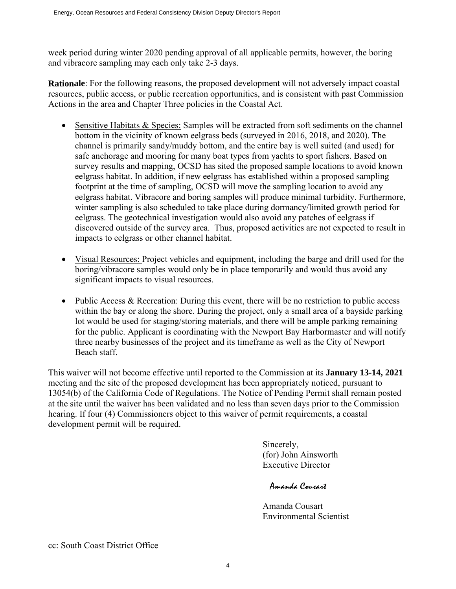week period during winter 2020 pending approval of all applicable permits, however, the boring and vibracore sampling may each only take 2-3 days.

**Rationale**: For the following reasons, the proposed development will not adversely impact coastal resources, public access, or public recreation opportunities, and is consistent with past Commission Actions in the area and Chapter Three policies in the Coastal Act.

- Sensitive Habitats & Species: Samples will be extracted from soft sediments on the channel bottom in the vicinity of known eelgrass beds (surveyed in 2016, 2018, and 2020). The channel is primarily sandy/muddy bottom, and the entire bay is well suited (and used) for safe anchorage and mooring for many boat types from yachts to sport fishers. Based on survey results and mapping, OCSD has sited the proposed sample locations to avoid known eelgrass habitat. In addition, if new eelgrass has established within a proposed sampling footprint at the time of sampling, OCSD will move the sampling location to avoid any eelgrass habitat. Vibracore and boring samples will produce minimal turbidity. Furthermore, winter sampling is also scheduled to take place during dormancy/limited growth period for eelgrass. The geotechnical investigation would also avoid any patches of eelgrass if discovered outside of the survey area. Thus, proposed activities are not expected to result in impacts to eelgrass or other channel habitat.
- Visual Resources: Project vehicles and equipment, including the barge and drill used for the boring/vibracore samples would only be in place temporarily and would thus avoid any significant impacts to visual resources.
- Public Access & Recreation: During this event, there will be no restriction to public access within the bay or along the shore. During the project, only a small area of a bayside parking lot would be used for staging/storing materials, and there will be ample parking remaining for the public. Applicant is coordinating with the Newport Bay Harbormaster and will notify three nearby businesses of the project and its timeframe as well as the City of Newport Beach staff.

This waiver will not become effective until reported to the Commission at its **January 13-14, 2021** meeting and the site of the proposed development has been appropriately noticed, pursuant to 13054(b) of the California Code of Regulations. The Notice of Pending Permit shall remain posted at the site until the waiver has been validated and no less than seven days prior to the Commission hearing. If four (4) Commissioners object to this waiver of permit requirements, a coastal development permit will be required.

> Sincerely, (for) John Ainsworth Executive Director

Amanda Couzart

Amanda Cousart Environmental Scientist

cc: South Coast District Office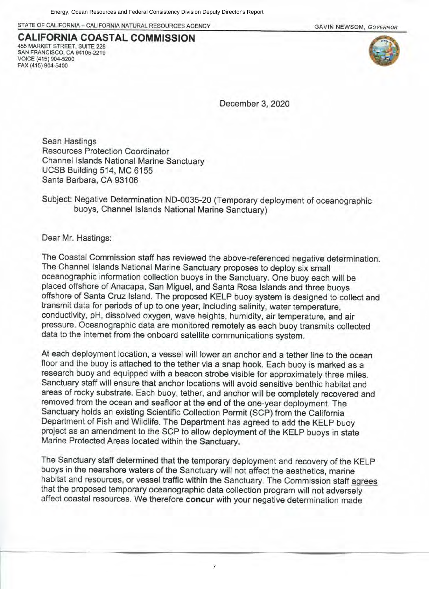STATE OF CALIFORNIA - CALIFORNIA NATURAL RESOURCES AGENCY

**GAVIN NEWSOM, GOVERNOR** 

#### **CALIFORNIA COASTAL COMMISSION** 455 MARKET STREET, SUITE 228 SAN FRANCISCO, CA 94105-2219 VOICE (415) 904-5200 FAX (415) 904-5400



December 3, 2020

Sean Hastings Resources Protection Coordinator Channel Islands National Marine Sanctuary UCSB Building 514, MC 6155 Santa Barbara, CA 93106

Subject: Negative Determination ND-0035-20 (Temporary deployment of oceanographic buoys, Channel Islands National Marine Sanctuary)

Dear Mr. Hastings:

The Coastal Commission staff has reviewed the above-referenced negative determination. The Channel Islands National Marine Sanctuary proposes to deploy six small oceanographic information collection buoys in the Sanctuary. One buoy each will be placed offshore of Anacapa, San Miguel, and Santa Rosa Islands and three buoys offshore of Santa Cruz Island. The proposed KELP buoy system is designed to collect and transmit data for periods of up to one year, including salinity, water temperature, conductivity, pH, dissolved oxygen, wave heights, humidity, air temperature, and air pressure. Oceanographic data are monitored remotely as each buoy transmits collected data to the internet from the onboard satellite communications system.

At each deployment location, a vessel will lower an anchor and a tether line to the ocean floor and the buoy is attached to the tether via a snap hook. Each buoy is marked as a research buoy and equipped with a beacon strobe visible for approximately three miles. Sanctuary staff will ensure that anchor locations will avoid sensitive benthic habitat and areas of rocky substrate. Each buoy, tether, and anchor will be completely recovered and removed from the ocean and seafloor at the end of the one-year deployment. The Sanctuary holds an existing Scientific Collection Permit (SCP) from the California Department of Fish and Wildlife. The Department has agreed to add the KELP buoy project as an amendment to the SCP to allow deployment of the KELP buoys in state Marine Protected Areas located within the Sanctuary.

The Sanctuary staff determined that the temporary deployment and recovery of the KELP buoys in the nearshore waters of the Sanctuary will not affect the aesthetics, marine habitat and resources, or vessel traffic within the Sanctuary. The Commission staff agrees that the proposed temporary oceanographic data collection program will not adversely affect coastal resources. We therefore concur with your negative determination made

7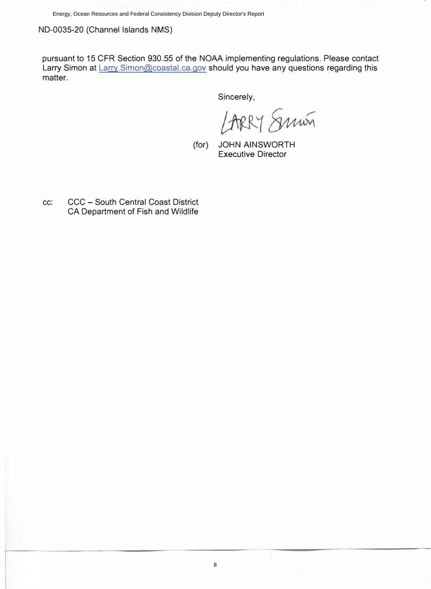ND-0035-20 (Channel Islands NMS)

pursuant to 15 CFR Section 930.55 of the NOAA implementing regulations. Please contact Larry Simon at Larry. Simon@coastal.ca.gov should you have any questions regarding this matter.

Sincerely,

LARRY Smin

8

(for) JOHN AINSWORTH Executive Director

cc: CCC - South Central Coast District CA Department of Fish and Wildlife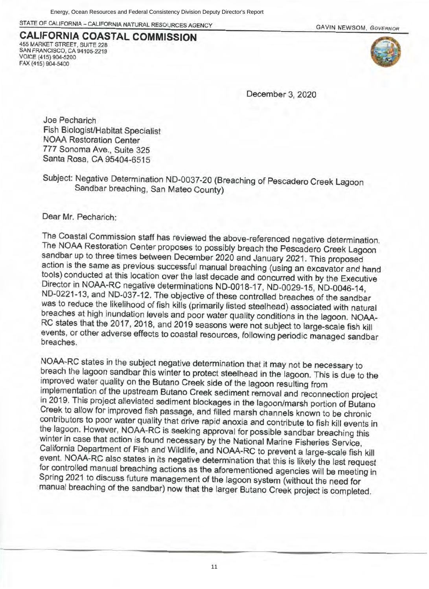STATE OF CALIFORNIA - CALIFORNIA NATURAL RESOURCES AGENCY

**CALIFORNIA COASTAL COMMISSION** 455 MARKET STREET, SUITE 228 SAN FRANCISCO, CA 94105-2219 VOICE (415) 904-5200 FAX (415) 904-5400





December 3, 2020

Joe Pecharich Fish Biologist/Habitat Specialist **NOAA Restoration Center** 777 Sonoma Ave., Suite 325 Santa Rosa, CA 95404-6515

Subject: Negative Determination ND-0037-20 (Breaching of Pescadero Creek Lagoon Sandbar breaching, San Mateo County)

Dear Mr. Pecharich:

The Coastal Commission staff has reviewed the above-referenced negative determination. The NOAA Restoration Center proposes to possibly breach the Pescadero Creek Lagoon sandbar up to three times between December 2020 and January 2021. This proposed action is the same as previous successful manual breaching (using an excavator and hand tools) conducted at this location over the last decade and concurred with by the Executive Director in NOAA-RC negative determinations ND-0018-17, ND-0029-15, ND-0046-14, ND-0221-13, and ND-037-12. The objective of these controlled breaches of the sandbar was to reduce the likelihood of fish kills (primarily listed steelhead) associated with natural breaches at high inundation levels and poor water quality conditions in the lagoon. NOAA-RC states that the 2017, 2018, and 2019 seasons were not subject to large-scale fish kill events, or other adverse effects to coastal resources, following periodic managed sandbar **breaches** 

NOAA-RC states in the subject negative determination that it may not be necessary to breach the lagoon sandbar this winter to protect steelhead in the lagoon. This is due to the improved water quality on the Butano Creek side of the lagoon resulting from implementation of the upstream Butano Creek sediment removal and reconnection project in 2019. This project alleviated sediment blockages in the lagoon/marsh portion of Butano Creek to allow for improved fish passage, and filled marsh channels known to be chronic contributors to poor water quality that drive rapid anoxia and contribute to fish kill events in the lagoon. However, NOAA-RC is seeking approval for possible sandbar breaching this winter in case that action is found necessary by the National Marine Fisheries Service, California Department of Fish and Wildlife, and NOAA-RC to prevent a large-scale fish kill event. NOAA-RC also states in its negative determination that this is likely the last request for controlled manual breaching actions as the aforementioned agencies will be meeting in Spring 2021 to discuss future management of the lagoon system (without the need for manual breaching of the sandbar) now that the larger Butano Creek project is completed.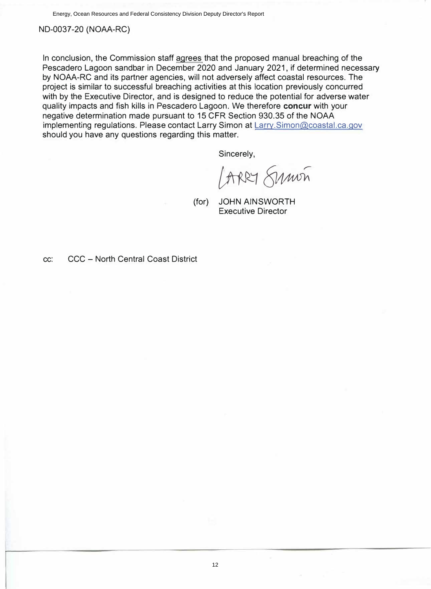Energy, Ocean Resources and Federal Consistency Division Deputy Director's Report

ND-0037-20 (NOAA-RC)

In conclusion, the Commission staff agrees that the proposed manual breaching of the Pescadero Lagoon sandbar in December 2020 and January 2021, if determined necessary by NOAA-RC and its partner agencies, will not adversely affect coastal resources. The project is similar to successful breaching activities at this location previously concurred with by the Executive Director, and is designed to reduce the potential for adverse water quality impacts and fish kills in Pescadero Lagoon. We therefore **concur** with your negative determination made pursuant to 15 CFR Section 930.35 of the NOAA implementing regulations. Please contact Larry Simon at Larry.Simon@coastal.ca.gov should you have any questions regarding this matter.

Sincerely,

ARRY Sumon

(for) JOHN AINSWORTH Executive Director

cc: CCC - North Central Coast District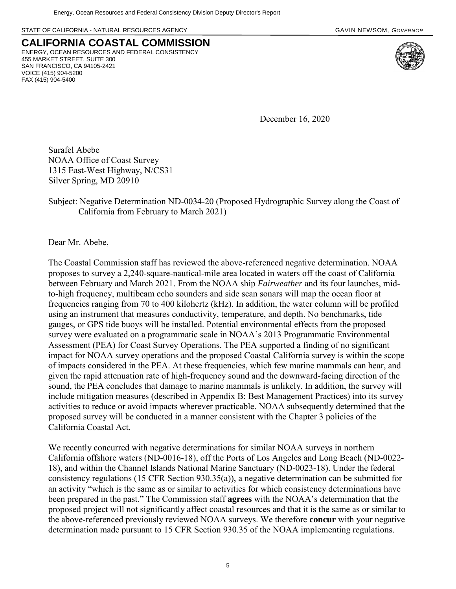STATE OF CALIFORNIA - NATURAL RESOURCES AGENCY **GAVIN ACCESS AGENCY AREA** CAVIN NEWSOM, *GOVERNOR* 



**CALIFORNIA COASTAL COMMISSION** ENERGY, OCEAN RESOURCES AND FEDERAL CONSISTENCY 455 MARKET STREET, SUITE 300 SAN FRANCISCO, CA 94105-2421 VOICE (415) 904-5200 FAX (415) 904-5400

December 16, 2020

Surafel Abebe NOAA Office of Coast Survey 1315 East-West Highway, N/CS31 Silver Spring, MD 20910

Subject: Negative Determination ND-0034-20 (Proposed Hydrographic Survey along the Coast of California from February to March 2021)

Dear Mr. Abebe,

The Coastal Commission staff has reviewed the above-referenced negative determination. NOAA proposes to survey a 2,240-square-nautical-mile area located in waters off the coast of California between February and March 2021. From the NOAA ship *Fairweather* and its four launches, midto-high frequency, multibeam echo sounders and side scan sonars will map the ocean floor at frequencies ranging from 70 to 400 kilohertz (kHz). In addition, the water column will be profiled using an instrument that measures conductivity, temperature, and depth. No benchmarks, tide gauges, or GPS tide buoys will be installed. Potential environmental effects from the proposed survey were evaluated on a programmatic scale in NOAA's 2013 Programmatic Environmental Assessment (PEA) for Coast Survey Operations. The PEA supported a finding of no significant impact for NOAA survey operations and the proposed Coastal California survey is within the scope of impacts considered in the PEA. At these frequencies, which few marine mammals can hear, and given the rapid attenuation rate of high-frequency sound and the downward-facing direction of the sound, the PEA concludes that damage to marine mammals is unlikely. In addition, the survey will include mitigation measures (described in Appendix B: Best Management Practices) into its survey activities to reduce or avoid impacts wherever practicable. NOAA subsequently determined that the proposed survey will be conducted in a manner consistent with the Chapter 3 policies of the California Coastal Act.

We recently concurred with negative determinations for similar NOAA surveys in northern California offshore waters (ND-0016-18), off the Ports of Los Angeles and Long Beach (ND-0022- 18), and within the Channel Islands National Marine Sanctuary (ND-0023-18). Under the federal consistency regulations (15 CFR Section 930.35(a)), a negative determination can be submitted for an activity "which is the same as or similar to activities for which consistency determinations have been prepared in the past." The Commission staff **agrees** with the NOAA's determination that the proposed project will not significantly affect coastal resources and that it is the same as or similar to the above-referenced previously reviewed NOAA surveys. We therefore **concur** with your negative determination made pursuant to 15 CFR Section 930.35 of the NOAA implementing regulations.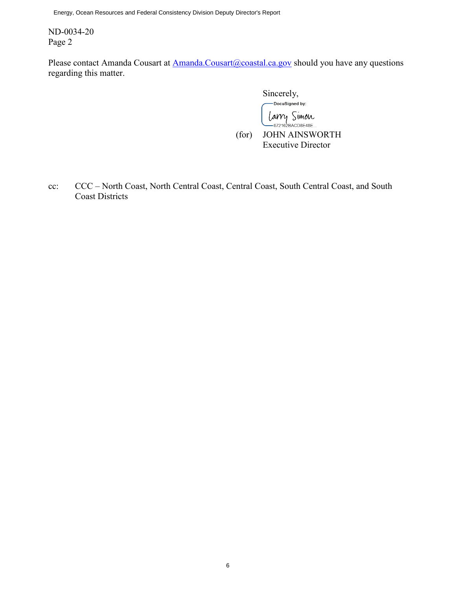Energy, Ocean Resources and Federal Consistency Division Deputy Director's Report

ND-0034-20 Page 2

Please contact Amanda Cousart at [Amanda.Cousart@coastal.ca.gov](mailto:Amanda.Cousart@coastal.ca.gov) should you have any questions regarding this matter.

> Sincerely,<br>
> pocusigned by: Larry Simon<br>- 672162BACD8E48E... (for) JOHN AINSWORTH Executive Director

cc: CCC – North Coast, North Central Coast, Central Coast, South Central Coast, and South Coast Districts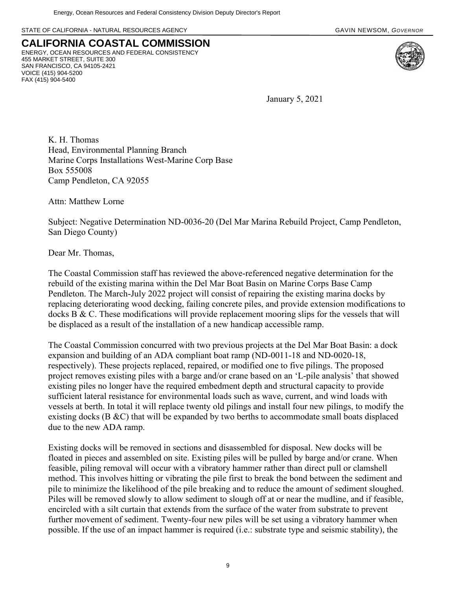STATE OF CALIFORNIA - NATURAL RESOURCES AGENCY **GAVIN ACCESS AGENCY AREA** GAVIN NEWSOM, *GOVERNOR* 



**CALIFORNIA COASTAL COMMISSION** ENERGY, OCEAN RESOURCES AND FEDERAL CONSISTENCY 455 MARKET STREET, SUITE 300 SAN FRANCISCO, CA 94105-2421 VOICE (415) 904-5200 FAX (415) 904-5400

January 5, 2021

K. H. Thomas Head, Environmental Planning Branch Marine Corps Installations West-Marine Corp Base Box 555008 Camp Pendleton, CA 92055

Attn: Matthew Lorne

Subject: Negative Determination ND-0036-20 (Del Mar Marina Rebuild Project, Camp Pendleton, San Diego County)

Dear Mr. Thomas,

The Coastal Commission staff has reviewed the above-referenced negative determination for the rebuild of the existing marina within the Del Mar Boat Basin on Marine Corps Base Camp Pendleton. The March-July 2022 project will consist of repairing the existing marina docks by replacing deteriorating wood decking, failing concrete piles, and provide extension modifications to docks B & C. These modifications will provide replacement mooring slips for the vessels that will be displaced as a result of the installation of a new handicap accessible ramp.

The Coastal Commission concurred with two previous projects at the Del Mar Boat Basin: a dock expansion and building of an ADA compliant boat ramp (ND-0011-18 and ND-0020-18, respectively). These projects replaced, repaired, or modified one to five pilings. The proposed project removes existing piles with a barge and/or crane based on an 'L-pile analysis' that showed existing piles no longer have the required embedment depth and structural capacity to provide sufficient lateral resistance for environmental loads such as wave, current, and wind loads with vessels at berth. In total it will replace twenty old pilings and install four new pilings, to modify the existing docks (B &C) that will be expanded by two berths to accommodate small boats displaced due to the new ADA ramp.

Existing docks will be removed in sections and disassembled for disposal. New docks will be floated in pieces and assembled on site. Existing piles will be pulled by barge and/or crane. When feasible, piling removal will occur with a vibratory hammer rather than direct pull or clamshell method. This involves hitting or vibrating the pile first to break the bond between the sediment and pile to minimize the likelihood of the pile breaking and to reduce the amount of sediment sloughed. Piles will be removed slowly to allow sediment to slough off at or near the mudline, and if feasible, encircled with a silt curtain that extends from the surface of the water from substrate to prevent further movement of sediment. Twenty-four new piles will be set using a vibratory hammer when possible. If the use of an impact hammer is required (i.e.: substrate type and seismic stability), the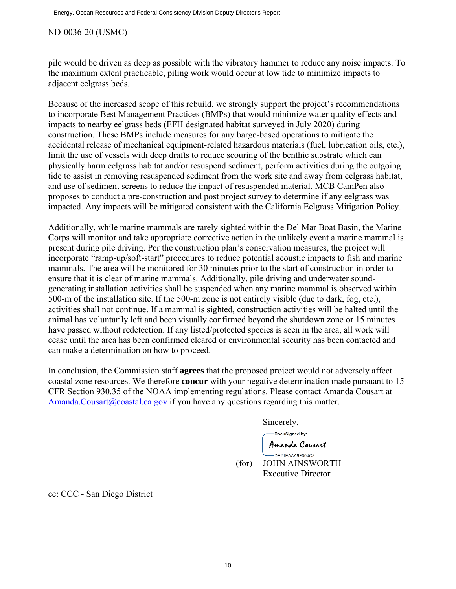#### ND-0036-20 (USMC)

pile would be driven as deep as possible with the vibratory hammer to reduce any noise impacts. To the maximum extent practicable, piling work would occur at low tide to minimize impacts to adjacent eelgrass beds.

Because of the increased scope of this rebuild, we strongly support the project's recommendations to incorporate Best Management Practices (BMPs) that would minimize water quality effects and impacts to nearby eelgrass beds (EFH designated habitat surveyed in July 2020) during construction. These BMPs include measures for any barge-based operations to mitigate the accidental release of mechanical equipment-related hazardous materials (fuel, lubrication oils, etc.), limit the use of vessels with deep drafts to reduce scouring of the benthic substrate which can physically harm eelgrass habitat and/or resuspend sediment, perform activities during the outgoing tide to assist in removing resuspended sediment from the work site and away from eelgrass habitat, and use of sediment screens to reduce the impact of resuspended material. MCB CamPen also proposes to conduct a pre-construction and post project survey to determine if any eelgrass was impacted. Any impacts will be mitigated consistent with the California Eelgrass Mitigation Policy.

Additionally, while marine mammals are rarely sighted within the Del Mar Boat Basin, the Marine Corps will monitor and take appropriate corrective action in the unlikely event a marine mammal is present during pile driving. Per the construction plan's conservation measures, the project will incorporate "ramp-up/soft-start" procedures to reduce potential acoustic impacts to fish and marine mammals. The area will be monitored for 30 minutes prior to the start of construction in order to ensure that it is clear of marine mammals. Additionally, pile driving and underwater soundgenerating installation activities shall be suspended when any marine mammal is observed within 500-m of the installation site. If the 500-m zone is not entirely visible (due to dark, fog, etc.), activities shall not continue. If a mammal is sighted, construction activities will be halted until the animal has voluntarily left and been visually confirmed beyond the shutdown zone or 15 minutes have passed without redetection. If any listed/protected species is seen in the area, all work will cease until the area has been confirmed cleared or environmental security has been contacted and can make a determination on how to proceed.

In conclusion, the Commission staff **agrees** that the proposed project would not adversely affect coastal zone resources. We therefore **concur** with your negative determination made pursuant to 15 CFR Section 930.35 of the NOAA implementing regulations. Please contact Amanda Cousart at [Amanda.Cousart@coastal.ca.gov](mailto:Amanda.Cousart@coastal.ca.gov) if you have any questions regarding this matter.

Sincerely,

DocuSigned by: Amanda Couzart

-DE21EAAA9F004C8... (for) JOHN AINSWORTH Executive Director

cc: CCC - San Diego District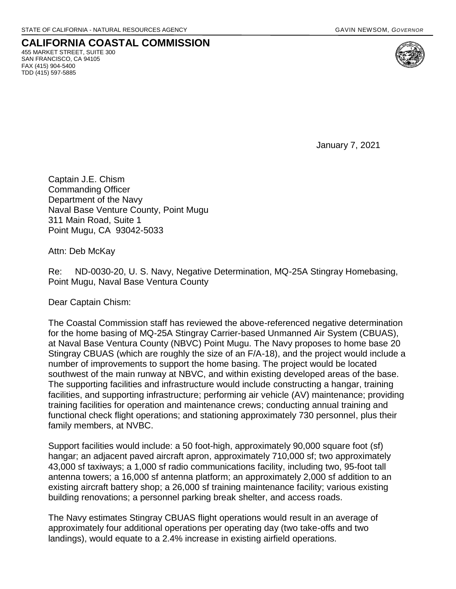## **CALIFORNIA COASTAL COMMISSION**  455 MARKET STREET, SUITE 300

SAN FRANCISCO, CA 94105 FAX (415) 904-5400 TDD (415) 597-5885

January 7, 2021

Captain J.E. Chism Commanding Officer Department of the Navy Naval Base Venture County, Point Mugu 311 Main Road, Suite 1 Point Mugu, CA 93042-5033

Attn: Deb McKay

Re: ND-0030-20, U. S. Navy, Negative Determination, MQ-25A Stingray Homebasing, Point Mugu, Naval Base Ventura County

Dear Captain Chism:

The Coastal Commission staff has reviewed the above-referenced negative determination for the home basing of MQ-25A Stingray Carrier-based Unmanned Air System (CBUAS), at Naval Base Ventura County (NBVC) Point Mugu. The Navy proposes to home base 20 Stingray CBUAS (which are roughly the size of an F/A-18), and the project would include a number of improvements to support the home basing. The project would be located southwest of the main runway at NBVC, and within existing developed areas of the base. The supporting facilities and infrastructure would include constructing a hangar, training facilities, and supporting infrastructure; performing air vehicle (AV) maintenance; providing training facilities for operation and maintenance crews; conducting annual training and functional check flight operations; and stationing approximately 730 personnel, plus their family members, at NVBC.

Support facilities would include: a 50 foot-high, approximately 90,000 square foot (sf) hangar; an adjacent paved aircraft apron, approximately 710,000 sf; two approximately 43,000 sf taxiways; a 1,000 sf radio communications facility, including two, 95-foot tall antenna towers; a 16,000 sf antenna platform; an approximately 2,000 sf addition to an existing aircraft battery shop; a 26,000 sf training maintenance facility; various existing building renovations; a personnel parking break shelter, and access roads.

The Navy estimates Stingray CBUAS flight operations would result in an average of approximately four additional operations per operating day (two take-offs and two landings), would equate to a 2.4% increase in existing airfield operations.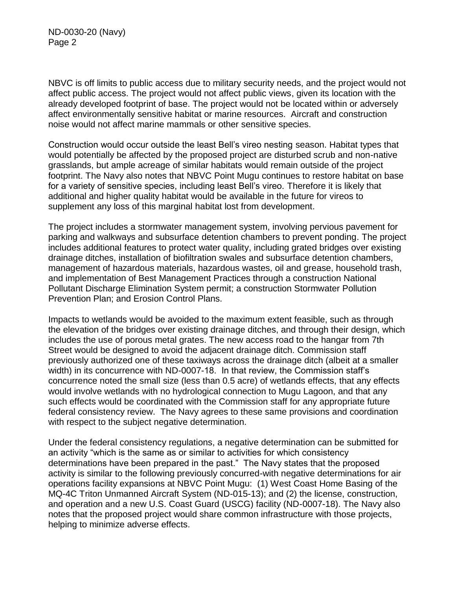ND-0030-20 (Navy) Page 2

NBVC is off limits to public access due to military security needs, and the project would not affect public access. The project would not affect public views, given its location with the already developed footprint of base. The project would not be located within or adversely affect environmentally sensitive habitat or marine resources. Aircraft and construction noise would not affect marine mammals or other sensitive species.

Construction would occur outside the least Bell's vireo nesting season. Habitat types that would potentially be affected by the proposed project are disturbed scrub and non-native grasslands, but ample acreage of similar habitats would remain outside of the project footprint. The Navy also notes that NBVC Point Mugu continues to restore habitat on base for a variety of sensitive species, including least Bell's vireo. Therefore it is likely that additional and higher quality habitat would be available in the future for vireos to supplement any loss of this marginal habitat lost from development.

The project includes a stormwater management system, involving pervious pavement for parking and walkways and subsurface detention chambers to prevent ponding. The project includes additional features to protect water quality, including grated bridges over existing drainage ditches, installation of biofiltration swales and subsurface detention chambers, management of hazardous materials, hazardous wastes, oil and grease, household trash, and implementation of Best Management Practices through a construction National Pollutant Discharge Elimination System permit; a construction Stormwater Pollution Prevention Plan; and Erosion Control Plans.

Impacts to wetlands would be avoided to the maximum extent feasible, such as through the elevation of the bridges over existing drainage ditches, and through their design, which includes the use of porous metal grates. The new access road to the hangar from 7th Street would be designed to avoid the adjacent drainage ditch. Commission staff previously authorized one of these taxiways across the drainage ditch (albeit at a smaller width) in its concurrence with ND-0007-18. In that review, the Commission staff's concurrence noted the small size (less than 0.5 acre) of wetlands effects, that any effects would involve wetlands with no hydrological connection to Mugu Lagoon, and that any such effects would be coordinated with the Commission staff for any appropriate future federal consistency review. The Navy agrees to these same provisions and coordination with respect to the subject negative determination.

Under the federal consistency regulations, a negative determination can be submitted for an activity "which is the same as or similar to activities for which consistency determinations have been prepared in the past." The Navy states that the proposed activity is similar to the following previously concurred-with negative determinations for air operations facility expansions at NBVC Point Mugu: (1) West Coast Home Basing of the MQ-4C Triton Unmanned Aircraft System (ND-015-13); and (2) the license, construction, and operation and a new U.S. Coast Guard (USCG) facility (ND-0007-18). The Navy also notes that the proposed project would share common infrastructure with those projects, helping to minimize adverse effects.